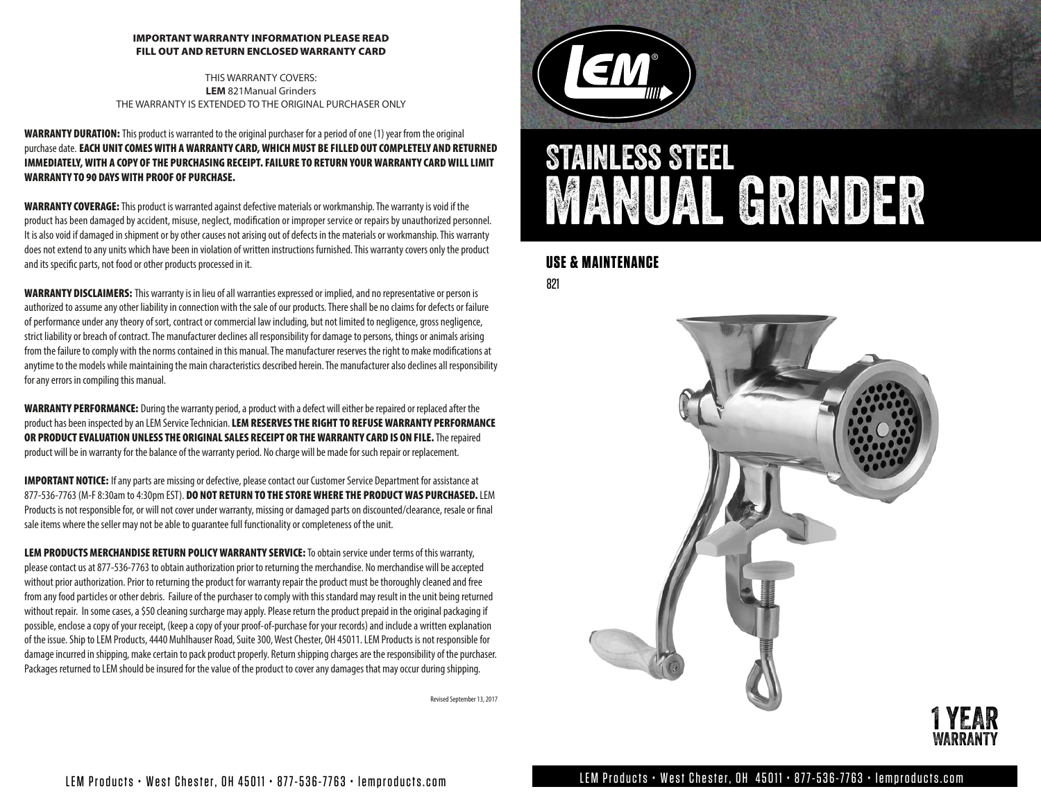#### IMPORTANT WARRANTY INFORMATION PLEASE READ FILL OUT AND RETURN ENCLOSED WARRANTY CARD

THIS WARRANTY COVERS: **LEM** 821Manual Grinders THE WARRANTY IS EXTENDED TO THE ORIGINAL PURCHASER ONLY

WARRANTY DURATION: This product is warranted to the original purchaser for a period of one (1) year from the original purchase date. EACH UNIT COMES WITH A WARRANTY CARD, WHICH MUST BE FILLED OUT COMPLETELY AND RETURNED IMMEDIATELY, WITH A COPY OF THE PURCHASING RECEIPT. FAILURE TO RETURN YOUR WARRANTY CARD WILL LIMIT WARRANTY TO 90 DAYS WITH PROOF OF PURCHASE.

WARRANTY COVERAGE: This product is warranted against defective materials or workmanship. The warranty is void if the product has been damaged by accident, misuse, neglect, modification or improper service or repairs by unauthorized personnel. It is also void if damaged in shipment or by other causes not arising out of defects in the materials or workmanship. This warranty does not extend to any units which have been in violation of written instructions furnished. This warranty covers only the product and its specific parts, not food or other products processed in it.

WARRANTY DISCLAIMERS: This warranty is in lieu of all warranties expressed or implied, and no representative or person is authorized to assume any other liability in connection with the sale of our products. There shall be no claims for defects or failure of performance under any theory of sort, contract or commercial law including, but not limited to negligence, gross negligence, strict liability or breach of contract. The manufacturer declines all responsibility for damage to persons, things or animals arising from the failure to comply with the norms contained in this manual. The manufacturer reserves the right to make modifications at anytime to the models while maintaining the main characteristics described herein. The manufacturer also declines all responsibility for any errors in compiling this manual.

WARRANTY PERFORMANCE: During the warranty period, a product with a defect will either be repaired or replaced after the product has been inspected by an LEM Service Technician. LEM RESERVES THE RIGHT TO REFUSE WARRANTY PERFORMANCE OR PRODUCT EVALUATION UNLESS THE ORIGINAL SALES RECEIPT OR THE WARRANTY CARD IS ON FILE. The repaired product will be in warranty for the balance of the warranty period. No charge will be made for such repair or replacement.

**IMPORTANT NOTICE:** If any parts are missing or defective, please contact our Customer Service Department for assistance at 877-536-7763 (M-F 8:30am to 4:30pm EST). DO NOT RETURN TO THE STORE WHERE THE PRODUCT WAS PURCHASED. LEM Products is not responsible for, or will not cover under warranty, missing or damaged parts on discounted/clearance, resale or final sale items where the seller may not be able to guarantee full functionality or completeness of the unit.

LEM PRODUCTS MERCHANDISE RETURN POLICY WARRANTY SERVICE: To obtain service under terms of this warranty, please contact us at 877-536-7763 to obtain authorization prior to returning the merchandise. No merchandise will be accepted without prior authorization. Prior to returning the product for warranty repair the product must be thoroughly cleaned and free from any food particles or other debris. Failure of the purchaser to comply with this standard may result in the unit being returned without repair. In some cases, a \$50 cleaning surcharge may apply. Please return the product prepaid in the original packaging if possible, enclose a copy of your receipt, (keep a copy of your proof-of-purchase for your records) and include a written explanation of the issue. Ship to LEM Products, 4440 Muhlhauser Road, Suite 300, West Chester, OH 45011. LEM Products is not responsible for damage incurred in shipping, make certain to pack product properly. Return shipping charges are the responsibility of the purchaser. Packages returned to LEM should be insured for the value of the product to cover any damages that may occur during shipping.

Revised September 13, 2017



# STAINLESS STEEL MANUAL GRINDER

#### **USE & MAINTENANCE**

821